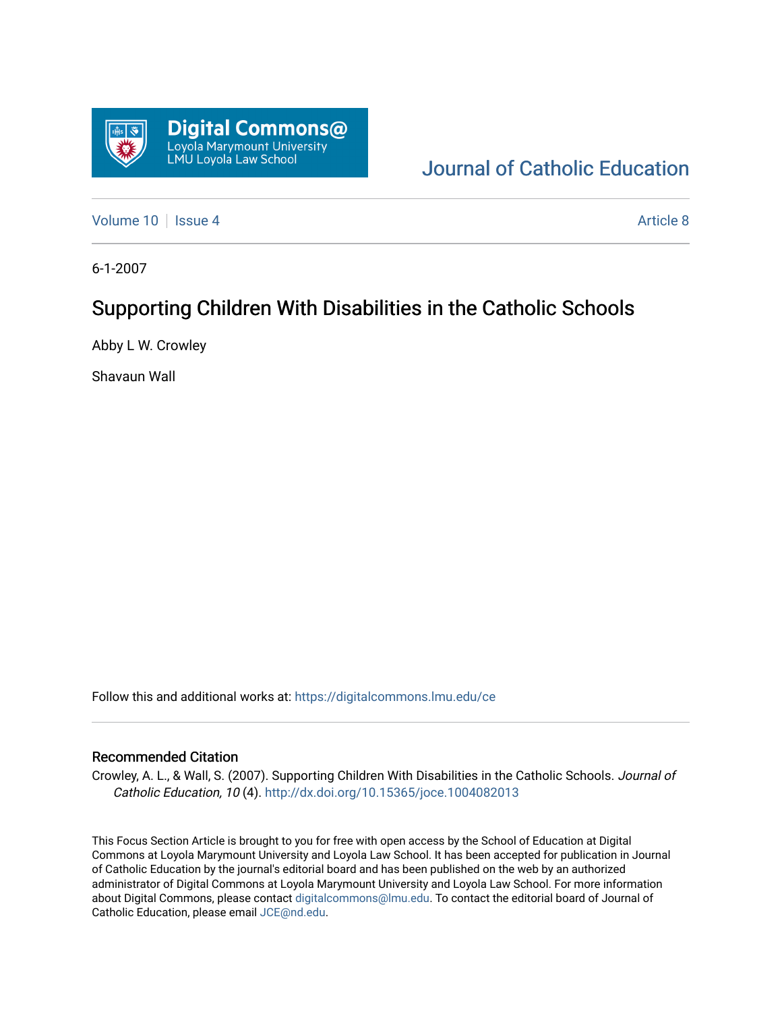

# [Journal of Catholic Education](https://digitalcommons.lmu.edu/ce)

[Volume 10](https://digitalcommons.lmu.edu/ce/vol10) | [Issue 4](https://digitalcommons.lmu.edu/ce/vol10/iss4) Article 8

6-1-2007

# Supporting Children With Disabilities in the Catholic Schools

Abby L W. Crowley

Shavaun Wall

Follow this and additional works at: [https://digitalcommons.lmu.edu/ce](https://digitalcommons.lmu.edu/ce?utm_source=digitalcommons.lmu.edu%2Fce%2Fvol10%2Fiss4%2F8&utm_medium=PDF&utm_campaign=PDFCoverPages)

#### Recommended Citation

Crowley, A. L., & Wall, S. (2007). Supporting Children With Disabilities in the Catholic Schools. Journal of Catholic Education, 10 (4). <http://dx.doi.org/10.15365/joce.1004082013>

This Focus Section Article is brought to you for free with open access by the School of Education at Digital Commons at Loyola Marymount University and Loyola Law School. It has been accepted for publication in Journal of Catholic Education by the journal's editorial board and has been published on the web by an authorized administrator of Digital Commons at Loyola Marymount University and Loyola Law School. For more information about Digital Commons, please contact [digitalcommons@lmu.edu](mailto:digitalcommons@lmu.edu). To contact the editorial board of Journal of Catholic Education, please email [JCE@nd.edu.](mailto:JCE@nd.edu)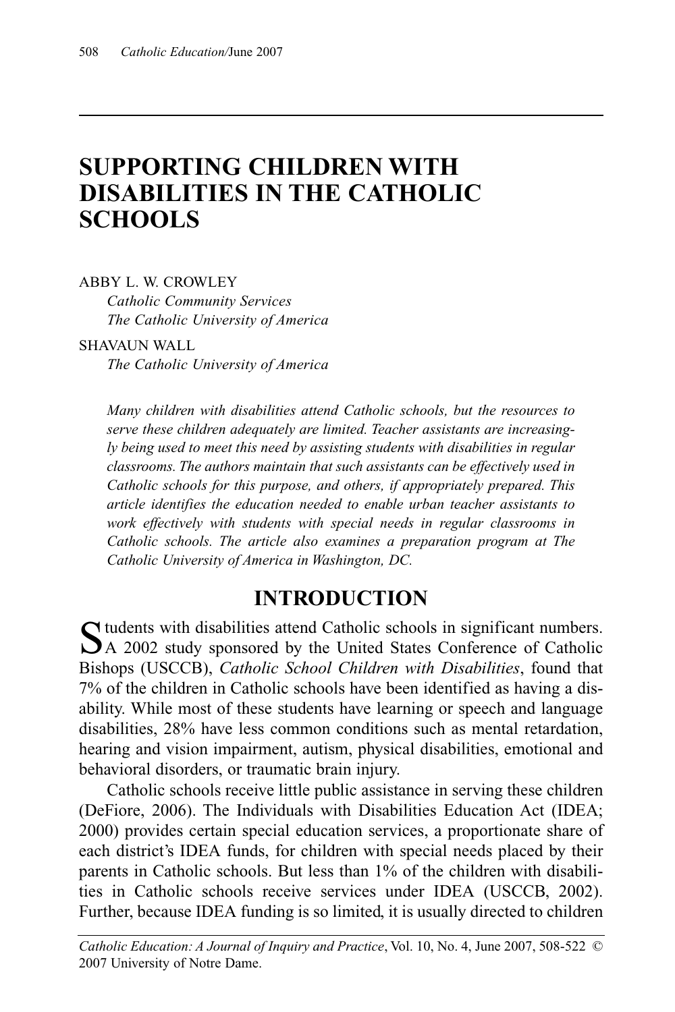# **SUPPORTING CHILDREN WITH DISABILITIES IN THE CATHOLIC SCHOOLS**

#### ABBY L. W. CROWLEY

*Catholic Community Services The Catholic University of America*

#### SHAVAUN WALL

*The Catholic University of America*

*Many children with disabilities attend Catholic schools, but the resources to serve these children adequately are limited. Teacher assistants are increasingly being used to meet this need by assisting students with disabilities in regular classrooms. The authors maintain that such assistants can be effectively used in Catholic schools for this purpose, and others, if appropriately prepared. This article identifies the education needed to enable urban teacher assistants to work effectively with students with special needs in regular classrooms in Catholic schools. The article also examines a preparation program at The Catholic University of America in Washington, DC.*

### **INTRODUCTION**

Students with disabilities attend Catholic schools in significant numbers. A 2002 study sponsored by the United States Conference of Catholic Bishops (USCCB), *Catholic School Children with Disabilities*, found that 7% of the children in Catholic schools have been identified as having a disability. While most of these students have learning or speech and language disabilities, 28% have less common conditions such as mental retardation, hearing and vision impairment, autism, physical disabilities, emotional and behavioral disorders, or traumatic brain injury.

Catholic schools receive little public assistance in serving these children (DeFiore, 2006). The Individuals with Disabilities Education Act (IDEA; 2000) provides certain special education services, a proportionate share of each district's IDEA funds, for children with special needs placed by their parents in Catholic schools. But less than 1% of the children with disabilities in Catholic schools receive services under IDEA (USCCB, 2002). Further, because IDEA funding is so limited, it is usually directed to children

*Catholic Education: A Journal of Inquiry and Practice*, Vol. 10, No. 4, June 2007, 508-522 © 2007 University of Notre Dame.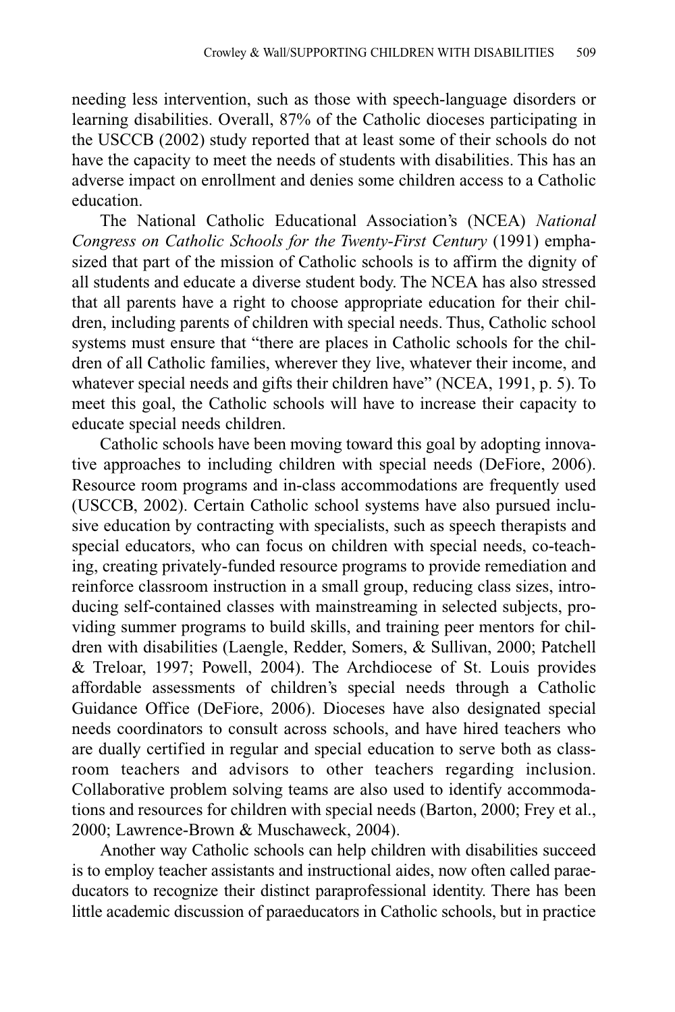needing less intervention, such as those with speech-language disorders or learning disabilities. Overall, 87% of the Catholic dioceses participating in the USCCB (2002) study reported that at least some of their schools do not have the capacity to meet the needs of students with disabilities. This has an adverse impact on enrollment and denies some children access to a Catholic education.

The National Catholic Educational Association's (NCEA) *National Congress on Catholic Schools for the Twenty-First Century* (1991) emphasized that part of the mission of Catholic schools is to affirm the dignity of all students and educate a diverse student body. The NCEA has also stressed that all parents have a right to choose appropriate education for their children, including parents of children with special needs. Thus, Catholic school systems must ensure that "there are places in Catholic schools for the children of all Catholic families, wherever they live, whatever their income, and whatever special needs and gifts their children have" (NCEA, 1991, p. 5). To meet this goal, the Catholic schools will have to increase their capacity to educate special needs children.

Catholic schools have been moving toward this goal by adopting innovative approaches to including children with special needs (DeFiore, 2006). Resource room programs and in-class accommodations are frequently used (USCCB, 2002). Certain Catholic school systems have also pursued inclusive education by contracting with specialists, such as speech therapists and special educators, who can focus on children with special needs, co-teaching, creating privately-funded resource programs to provide remediation and reinforce classroom instruction in a small group, reducing class sizes, introducing self-contained classes with mainstreaming in selected subjects, providing summer programs to build skills, and training peer mentors for children with disabilities (Laengle, Redder, Somers, & Sullivan, 2000; Patchell & Treloar, 1997; Powell, 2004). The Archdiocese of St. Louis provides affordable assessments of children's special needs through a Catholic Guidance Office (DeFiore, 2006). Dioceses have also designated special needs coordinators to consult across schools, and have hired teachers who are dually certified in regular and special education to serve both as classroom teachers and advisors to other teachers regarding inclusion. Collaborative problem solving teams are also used to identify accommodations and resources for children with special needs (Barton, 2000; Frey et al., 2000; Lawrence-Brown & Muschaweck, 2004).

Another way Catholic schools can help children with disabilities succeed is to employ teacher assistants and instructional aides, now often called paraeducators to recognize their distinct paraprofessional identity. There has been little academic discussion of paraeducators in Catholic schools, but in practice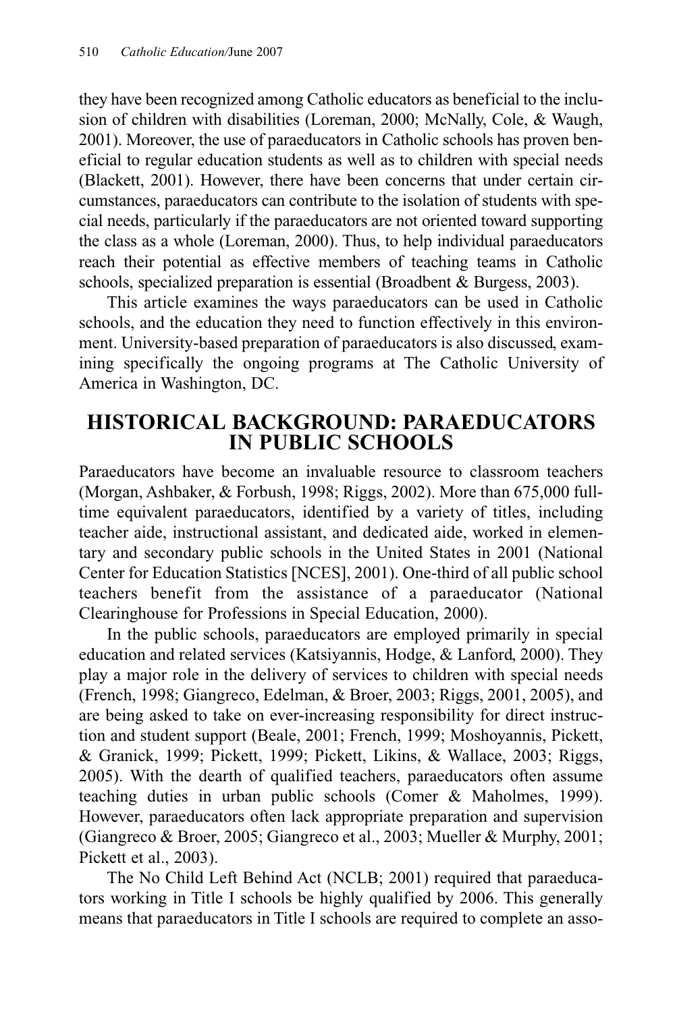they have been recognized among Catholic educators as beneficial to the inclusion of children with disabilities (Loreman, 2000; McNally, Cole, & Waugh, 2001). Moreover, the use of paraeducators in Catholic schools has proven beneficial to regular education students as well as to children with special needs (Blackett, 2001). However, there have been concerns that under certain circumstances, paraeducators can contribute to the isolation of students with special needs, particularly if the paraeducators are not oriented toward supporting the class as a whole (Loreman, 2000). Thus, to help individual paraeducators reach their potential as effective members of teaching teams in Catholic schools, specialized preparation is essential (Broadbent & Burgess, 2003).

This article examines the ways paraeducators can be used in Catholic schools, and the education they need to function effectively in this environment. University-based preparation of paraeducators is also discussed, examining specifically the ongoing programs at The Catholic University of America in Washington, DC.

### **HISTORICAL BACKGROUND: PARAEDUCATORS IN PUBLIC SCHOOLS**

Paraeducators have become an invaluable resource to classroom teachers (Morgan, Ashbaker, & Forbush, 1998; Riggs, 2002). More than 675,000 fulltime equivalent paraeducators, identified by a variety of titles, including teacher aide, instructional assistant, and dedicated aide, worked in elementary and secondary public schools in the United States in 2001 (National Center for Education Statistics [NCES], 2001). One-third of all public school teachers benefit from the assistance of a paraeducator (National Clearinghouse for Professions in Special Education, 2000).

In the public schools, paraeducators are employed primarily in special education and related services (Katsiyannis, Hodge, & Lanford, 2000). They play a major role in the delivery of services to children with special needs (French, 1998; Giangreco, Edelman, & Broer, 2003; Riggs, 2001, 2005), and are being asked to take on ever-increasing responsibility for direct instruction and student support (Beale, 2001; French, 1999; Moshoyannis, Pickett, & Granick, 1999; Pickett, 1999; Pickett, Likins, & Wallace, 2003; Riggs, 2005). With the dearth of qualified teachers, paraeducators often assume teaching duties in urban public schools (Comer & Maholmes, 1999). However, paraeducators often lack appropriate preparation and supervision (Giangreco & Broer, 2005; Giangreco et al., 2003; Mueller & Murphy, 2001; Pickett et al., 2003).

The No Child Left Behind Act (NCLB; 2001) required that paraeducators working in Title I schools be highly qualified by 2006. This generally means that paraeducators in Title I schools are required to complete an asso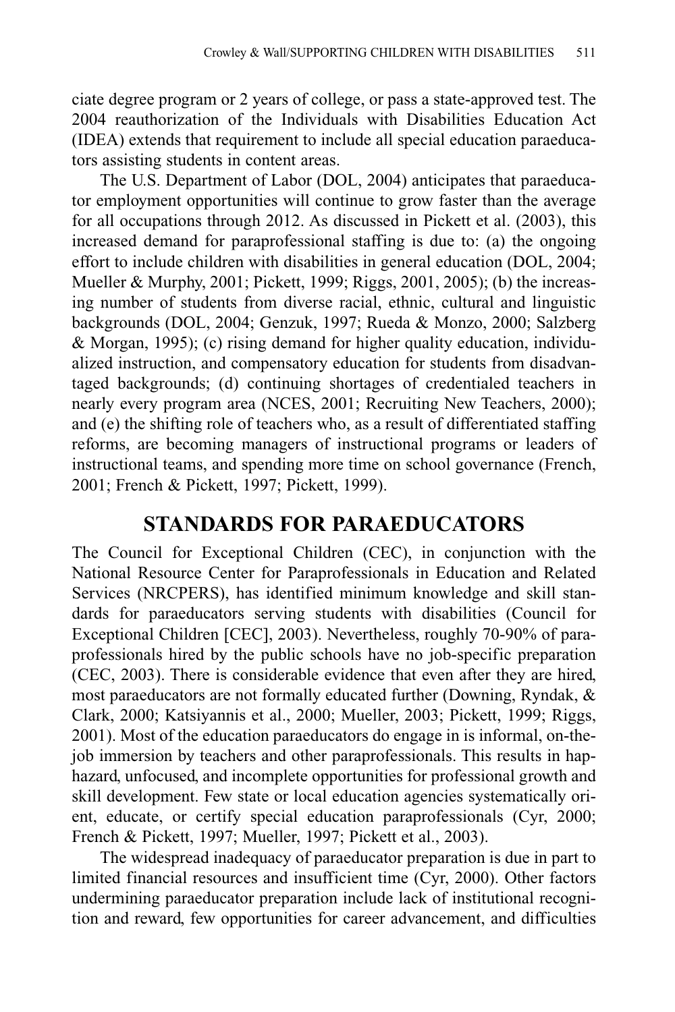ciate degree program or 2 years of college, or pass a state-approved test. The 2004 reauthorization of the Individuals with Disabilities Education Act (IDEA) extends that requirement to include all special education paraeducators assisting students in content areas.

The U.S. Department of Labor (DOL, 2004) anticipates that paraeducator employment opportunities will continue to grow faster than the average for all occupations through 2012. As discussed in Pickett et al. (2003), this increased demand for paraprofessional staffing is due to: (a) the ongoing effort to include children with disabilities in general education (DOL, 2004; Mueller & Murphy, 2001; Pickett, 1999; Riggs, 2001, 2005); (b) the increasing number of students from diverse racial, ethnic, cultural and linguistic backgrounds (DOL, 2004; Genzuk, 1997; Rueda & Monzo, 2000; Salzberg & Morgan, 1995); (c) rising demand for higher quality education, individualized instruction, and compensatory education for students from disadvantaged backgrounds; (d) continuing shortages of credentialed teachers in nearly every program area (NCES, 2001; Recruiting New Teachers, 2000); and (e) the shifting role of teachers who, as a result of differentiated staffing reforms, are becoming managers of instructional programs or leaders of instructional teams, and spending more time on school governance (French, 2001; French & Pickett, 1997; Pickett, 1999).

### **STANDARDS FOR PARAEDUCATORS**

The Council for Exceptional Children (CEC), in conjunction with the National Resource Center for Paraprofessionals in Education and Related Services (NRCPERS), has identified minimum knowledge and skill standards for paraeducators serving students with disabilities (Council for Exceptional Children [CEC], 2003). Nevertheless, roughly 70-90% of paraprofessionals hired by the public schools have no job-specific preparation (CEC, 2003). There is considerable evidence that even after they are hired, most paraeducators are not formally educated further (Downing, Ryndak, & Clark, 2000; Katsiyannis et al., 2000; Mueller, 2003; Pickett, 1999; Riggs, 2001). Most of the education paraeducators do engage in is informal, on-thejob immersion by teachers and other paraprofessionals. This results in haphazard, unfocused, and incomplete opportunities for professional growth and skill development. Few state or local education agencies systematically orient, educate, or certify special education paraprofessionals (Cyr, 2000; French & Pickett, 1997; Mueller, 1997; Pickett et al., 2003).

The widespread inadequacy of paraeducator preparation is due in part to limited financial resources and insufficient time (Cyr, 2000). Other factors undermining paraeducator preparation include lack of institutional recognition and reward, few opportunities for career advancement, and difficulties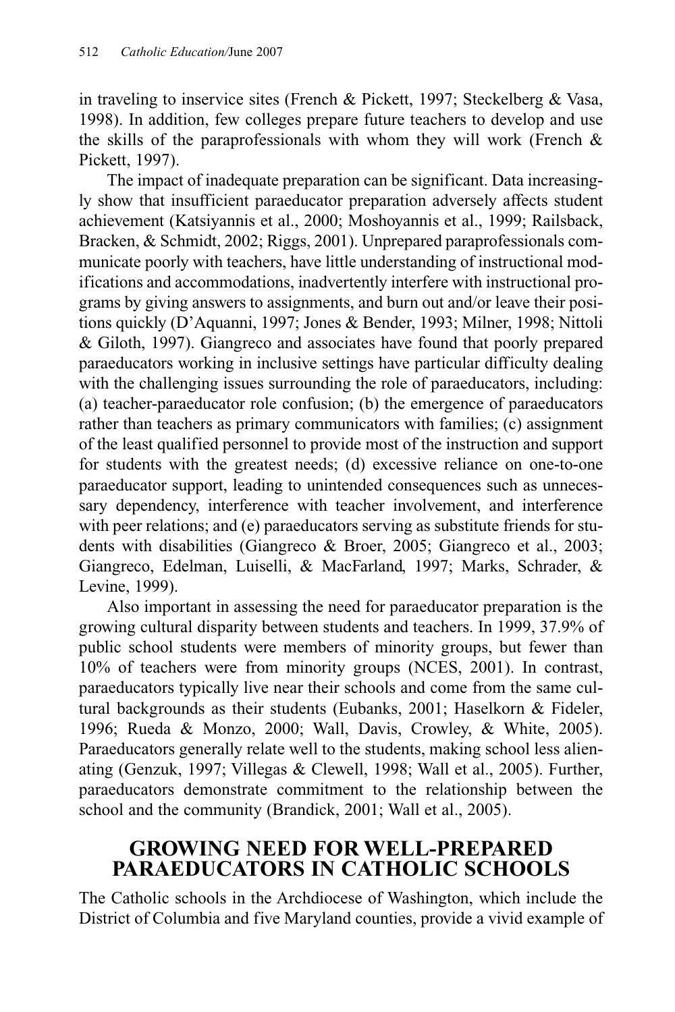in traveling to inservice sites (French & Pickett, 1997; Steckelberg & Vasa, 1998). In addition, few colleges prepare future teachers to develop and use the skills of the paraprofessionals with whom they will work (French  $\&$ Pickett, 1997).

The impact of inadequate preparation can be significant. Data increasingly show that insufficient paraeducator preparation adversely affects student achievement (Katsiyannis et al., 2000; Moshoyannis et al., 1999; Railsback, Bracken, & Schmidt, 2002; Riggs, 2001). Unprepared paraprofessionals communicate poorly with teachers, have little understanding of instructional modifications and accommodations, inadvertently interfere with instructional programs by giving answers to assignments, and burn out and/or leave their positions quickly (D'Aquanni, 1997; Jones & Bender, 1993; Milner, 1998; Nittoli & Giloth, 1997). Giangreco and associates have found that poorly prepared paraeducators working in inclusive settings have particular difficulty dealing with the challenging issues surrounding the role of paraeducators, including: (a) teacher-paraeducator role confusion; (b) the emergence of paraeducators rather than teachers as primary communicators with families; (c) assignment of the least qualified personnel to provide most of the instruction and support for students with the greatest needs; (d) excessive reliance on one-to-one paraeducator support, leading to unintended consequences such as unnecessary dependency, interference with teacher involvement, and interference with peer relations; and (e) paraeducators serving as substitute friends for students with disabilities (Giangreco & Broer, 2005; Giangreco et al., 2003; Giangreco, Edelman, Luiselli, & MacFarland, 1997; Marks, Schrader, & Levine, 1999).

Also important in assessing the need for paraeducator preparation is the growing cultural disparity between students and teachers. In 1999, 37.9% of public school students were members of minority groups, but fewer than 10% of teachers were from minority groups (NCES, 2001). In contrast, paraeducators typically live near their schools and come from the same cultural backgrounds as their students (Eubanks, 2001; Haselkorn & Fideler, 1996; Rueda & Monzo, 2000; Wall, Davis, Crowley, & White, 2005). Paraeducators generally relate well to the students, making school less alienating (Genzuk, 1997; Villegas & Clewell, 1998; Wall et al., 2005). Further, paraeducators demonstrate commitment to the relationship between the school and the community (Brandick, 2001; Wall et al., 2005).

### **GROWING NEED FOR WELL-PREPARED PARAEDUCATORS IN CATHOLIC SCHOOLS**

The Catholic schools in the Archdiocese of Washington, which include the District of Columbia and five Maryland counties, provide a vivid example of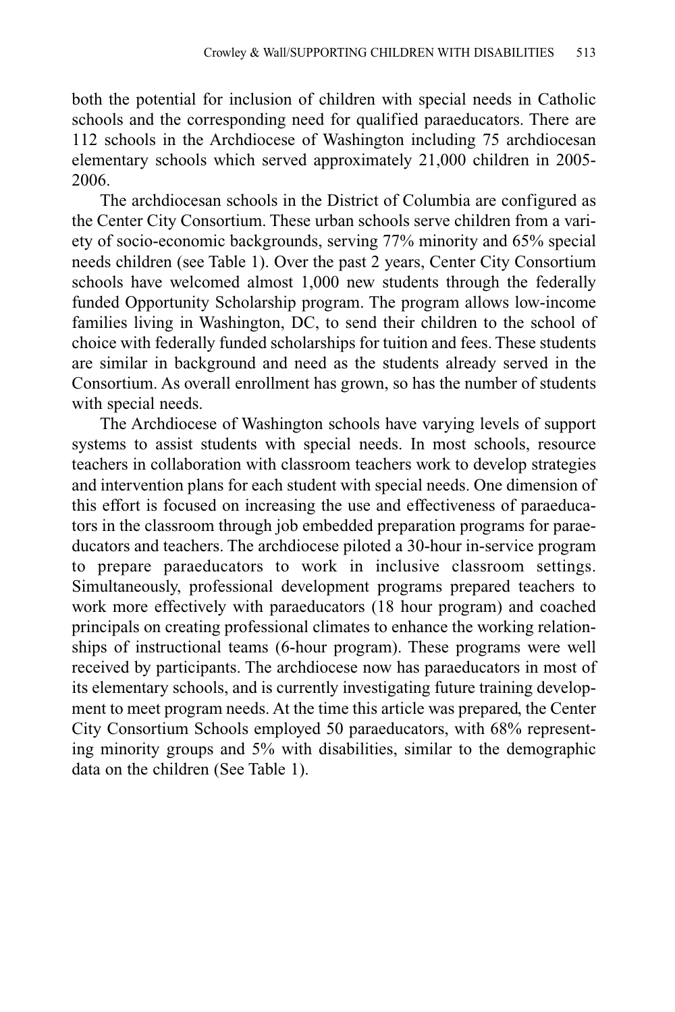both the potential for inclusion of children with special needs in Catholic schools and the corresponding need for qualified paraeducators. There are 112 schools in the Archdiocese of Washington including 75 archdiocesan elementary schools which served approximately 21,000 children in 2005- 2006.

The archdiocesan schools in the District of Columbia are configured as the Center City Consortium. These urban schools serve children from a variety of socio-economic backgrounds, serving 77% minority and 65% special needs children (see Table 1). Over the past 2 years, Center City Consortium schools have welcomed almost 1,000 new students through the federally funded Opportunity Scholarship program. The program allows low-income families living in Washington, DC, to send their children to the school of choice with federally funded scholarships for tuition and fees. These students are similar in background and need as the students already served in the Consortium. As overall enrollment has grown, so has the number of students with special needs.

The Archdiocese of Washington schools have varying levels of support systems to assist students with special needs. In most schools, resource teachers in collaboration with classroom teachers work to develop strategies and intervention plans for each student with special needs. One dimension of this effort is focused on increasing the use and effectiveness of paraeducators in the classroom through job embedded preparation programs for paraeducators and teachers. The archdiocese piloted a 30-hour in-service program to prepare paraeducators to work in inclusive classroom settings. Simultaneously, professional development programs prepared teachers to work more effectively with paraeducators (18 hour program) and coached principals on creating professional climates to enhance the working relationships of instructional teams (6-hour program). These programs were well received by participants. The archdiocese now has paraeducators in most of its elementary schools, and is currently investigating future training development to meet program needs. At the time this article was prepared, the Center City Consortium Schools employed 50 paraeducators, with 68% representing minority groups and 5% with disabilities, similar to the demographic data on the children (See Table 1).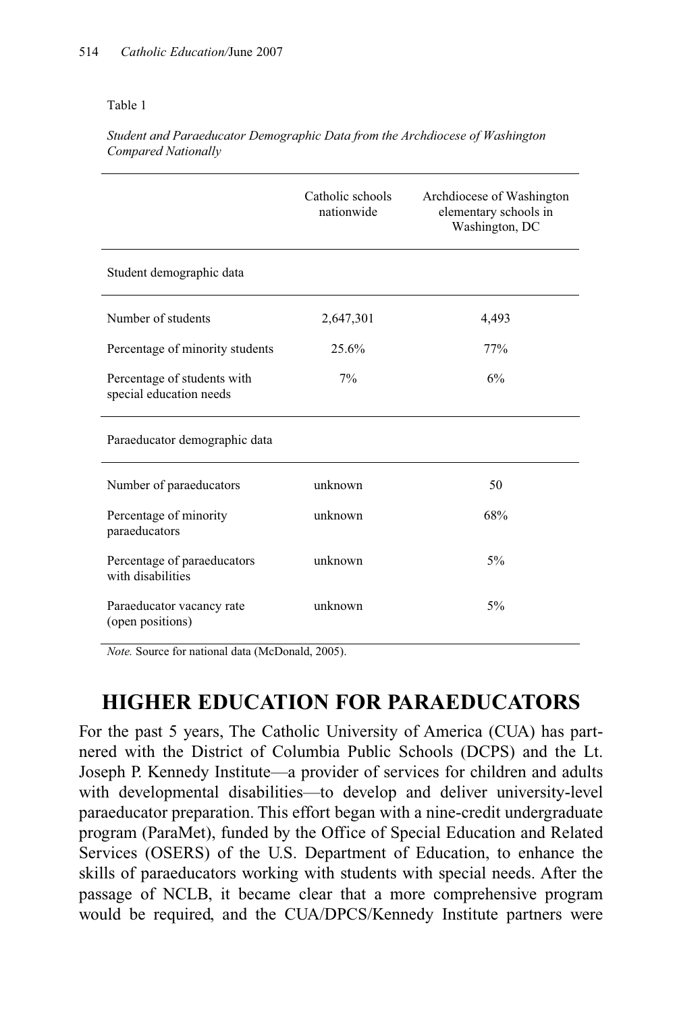#### Table 1

*Student and Paraeducator Demographic Data from the Archdiocese of Washington Compared Nationally* 

|                                                        | Catholic schools<br>nationwide | Archdiocese of Washington<br>elementary schools in<br>Washington, DC |
|--------------------------------------------------------|--------------------------------|----------------------------------------------------------------------|
| Student demographic data                               |                                |                                                                      |
| Number of students                                     | 2,647,301                      | 4,493                                                                |
| Percentage of minority students                        | 25.6%                          | 77%                                                                  |
| Percentage of students with<br>special education needs | $7\%$                          | 6%                                                                   |
| Paraeducator demographic data                          |                                |                                                                      |
| Number of paraeducators                                | unknown                        | 50                                                                   |
| Percentage of minority<br>paraeducators                | unknown                        | 68%                                                                  |
| Percentage of paraeducators<br>with disabilities       | unknown                        | $5\%$                                                                |
| Paraeducator vacancy rate<br>(open positions)          | unknown                        | $5\%$                                                                |

*Note.* Source for national data (McDonald, 2005).

### **HIGHER EDUCATION FOR PARAEDUCATORS**

For the past 5 years, The Catholic University of America (CUA) has partnered with the District of Columbia Public Schools (DCPS) and the Lt. Joseph P. Kennedy Institute—a provider of services for children and adults with developmental disabilities—to develop and deliver university-level paraeducator preparation. This effort began with a nine-credit undergraduate program (ParaMet), funded by the Office of Special Education and Related Services (OSERS) of the U.S. Department of Education, to enhance the skills of paraeducators working with students with special needs. After the passage of NCLB, it became clear that a more comprehensive program would be required, and the CUA/DPCS/Kennedy Institute partners were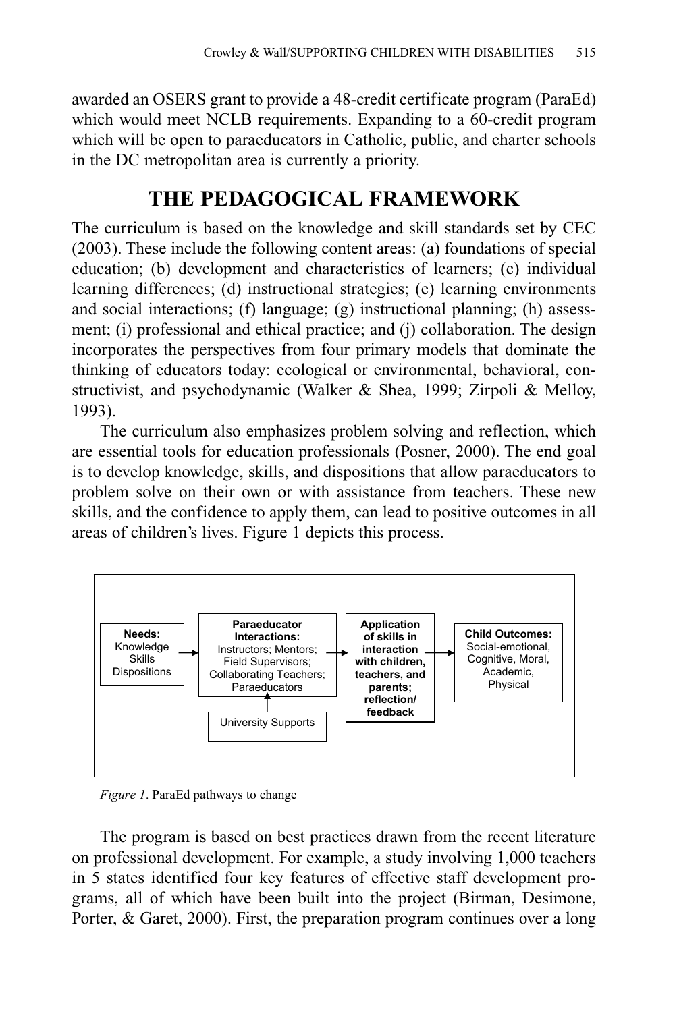awarded an OSERS grant to provide a 48-credit certificate program (ParaEd) which would meet NCLB requirements. Expanding to a 60-credit program which will be open to paraeducators in Catholic, public, and charter schools in the DC metropolitan area is currently a priority.

## **THE PEDAGOGICAL FRAMEWORK**

The curriculum is based on the knowledge and skill standards set by CEC (2003). These include the following content areas: (a) foundations of special education; (b) development and characteristics of learners; (c) individual learning differences; (d) instructional strategies; (e) learning environments and social interactions; (f) language; (g) instructional planning; (h) assessment; (i) professional and ethical practice; and (j) collaboration. The design incorporates the perspectives from four primary models that dominate the thinking of educators today: ecological or environmental, behavioral, constructivist, and psychodynamic (Walker & Shea, 1999; Zirpoli & Melloy, 1993).

The curriculum also emphasizes problem solving and reflection, which are essential tools for education professionals (Posner, 2000). The end goal is to develop knowledge, skills, and dispositions that allow paraeducators to problem solve on their own or with assistance from teachers. These new skills, and the confidence to apply them, can lead to positive outcomes in all areas of children's lives. Figure 1 depicts this process.



*Figure 1*. ParaEd pathways to change

The program is based on best practices drawn from the recent literature on professional development. For example, a study involving 1,000 teachers in 5 states identified four key features of effective staff development programs, all of which have been built into the project (Birman, Desimone, Porter, & Garet, 2000). First, the preparation program continues over a long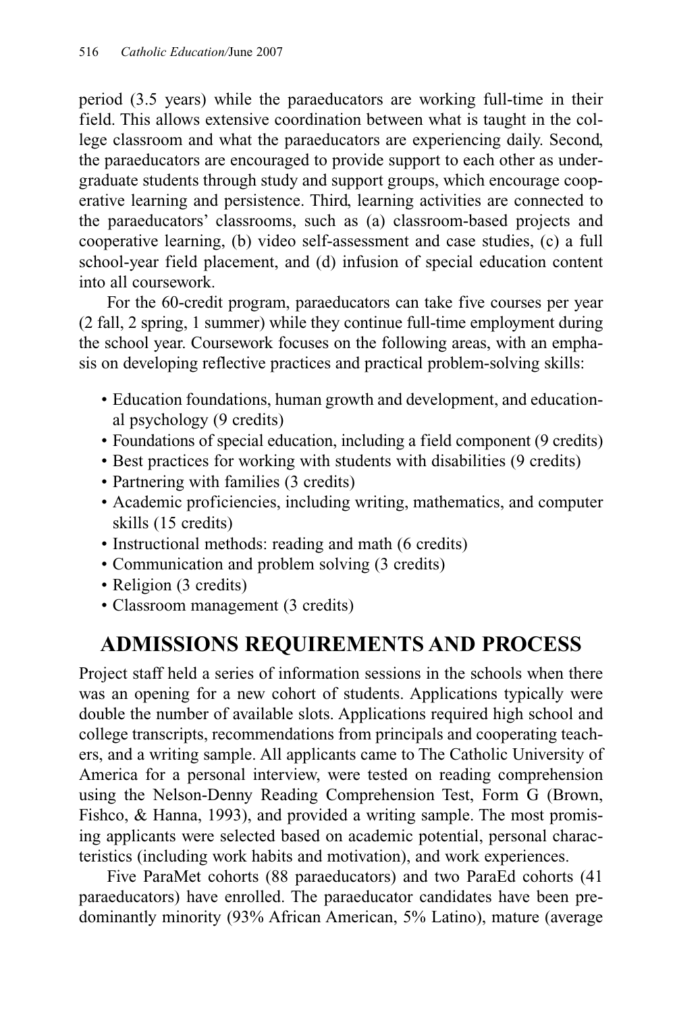period (3.5 years) while the paraeducators are working full-time in their field. This allows extensive coordination between what is taught in the college classroom and what the paraeducators are experiencing daily. Second, the paraeducators are encouraged to provide support to each other as undergraduate students through study and support groups, which encourage cooperative learning and persistence. Third, learning activities are connected to the paraeducators' classrooms, such as (a) classroom-based projects and cooperative learning, (b) video self-assessment and case studies, (c) a full school-year field placement, and (d) infusion of special education content into all coursework.

For the 60-credit program, paraeducators can take five courses per year (2 fall, 2 spring, 1 summer) while they continue full-time employment during the school year. Coursework focuses on the following areas, with an emphasis on developing reflective practices and practical problem-solving skills:

- Education foundations, human growth and development, and educational psychology (9 credits)
- Foundations of special education, including a field component (9 credits)
- Best practices for working with students with disabilities (9 credits)
- Partnering with families (3 credits)
- Academic proficiencies, including writing, mathematics, and computer skills (15 credits)
- Instructional methods: reading and math (6 credits)
- Communication and problem solving (3 credits)
- Religion (3 credits)
- Classroom management (3 credits)

## **ADMISSIONS REQUIREMENTS AND PROCESS**

Project staff held a series of information sessions in the schools when there was an opening for a new cohort of students. Applications typically were double the number of available slots. Applications required high school and college transcripts, recommendations from principals and cooperating teachers, and a writing sample. All applicants came to The Catholic University of America for a personal interview, were tested on reading comprehension using the Nelson-Denny Reading Comprehension Test, Form G (Brown, Fishco, & Hanna, 1993), and provided a writing sample. The most promising applicants were selected based on academic potential, personal characteristics (including work habits and motivation), and work experiences.

Five ParaMet cohorts (88 paraeducators) and two ParaEd cohorts (41 paraeducators) have enrolled. The paraeducator candidates have been predominantly minority (93% African American, 5% Latino), mature (average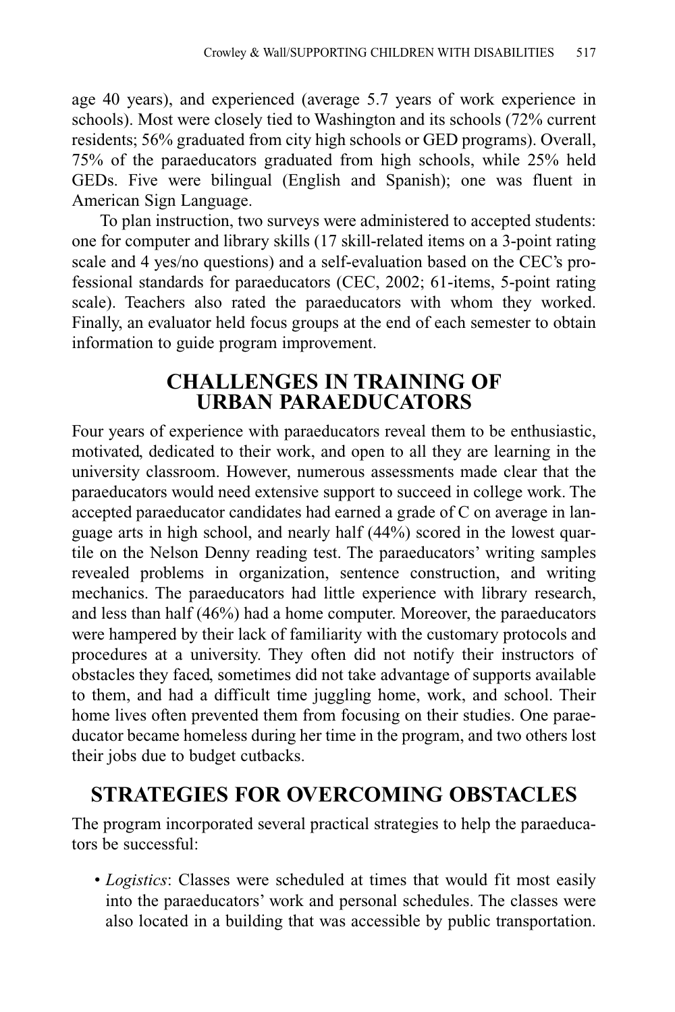age 40 years), and experienced (average 5.7 years of work experience in schools). Most were closely tied to Washington and its schools (72% current residents; 56% graduated from city high schools or GED programs). Overall, 75% of the paraeducators graduated from high schools, while 25% held GEDs. Five were bilingual (English and Spanish); one was fluent in American Sign Language.

To plan instruction, two surveys were administered to accepted students: one for computer and library skills (17 skill-related items on a 3-point rating scale and 4 yes/no questions) and a self-evaluation based on the CEC's professional standards for paraeducators (CEC, 2002; 61-items, 5-point rating scale). Teachers also rated the paraeducators with whom they worked. Finally, an evaluator held focus groups at the end of each semester to obtain information to guide program improvement.

### **CHALLENGES IN TRAINING OF URBAN PARAEDUCATORS**

Four years of experience with paraeducators reveal them to be enthusiastic, motivated, dedicated to their work, and open to all they are learning in the university classroom. However, numerous assessments made clear that the paraeducators would need extensive support to succeed in college work. The accepted paraeducator candidates had earned a grade of C on average in language arts in high school, and nearly half (44%) scored in the lowest quartile on the Nelson Denny reading test. The paraeducators' writing samples revealed problems in organization, sentence construction, and writing mechanics. The paraeducators had little experience with library research, and less than half (46%) had a home computer. Moreover, the paraeducators were hampered by their lack of familiarity with the customary protocols and procedures at a university. They often did not notify their instructors of obstacles they faced, sometimes did not take advantage of supports available to them, and had a difficult time juggling home, work, and school. Their home lives often prevented them from focusing on their studies. One paraeducator became homeless during her time in the program, and two others lost their jobs due to budget cutbacks.

## **STRATEGIES FOR OVERCOMING OBSTACLES**

The program incorporated several practical strategies to help the paraeducators be successful:

• *Logistics*: Classes were scheduled at times that would fit most easily into the paraeducators' work and personal schedules. The classes were also located in a building that was accessible by public transportation.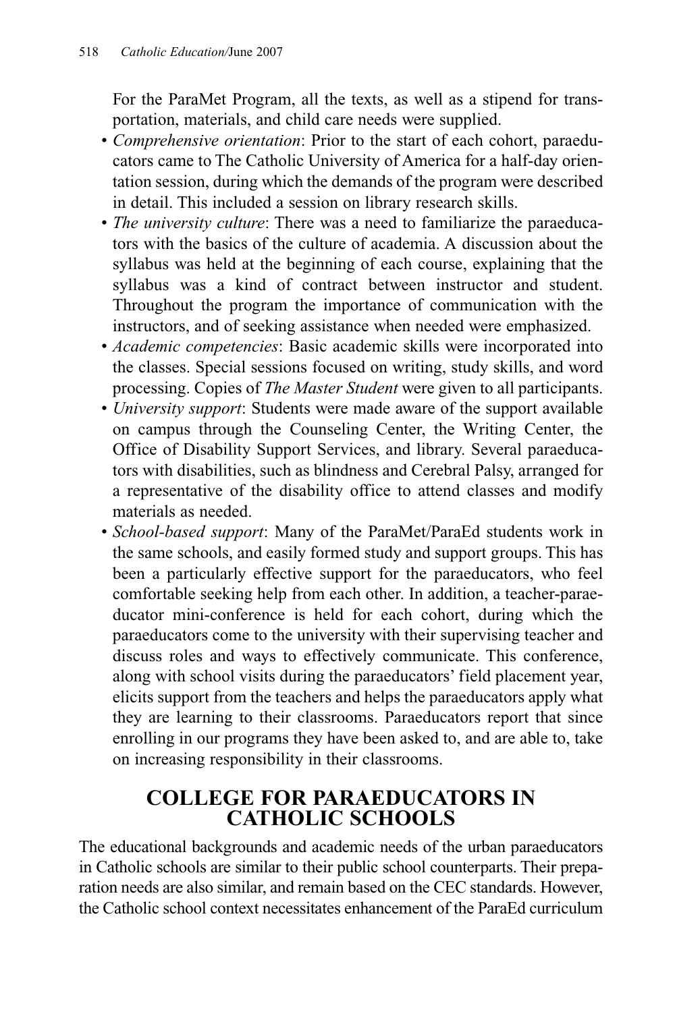For the ParaMet Program, all the texts, as well as a stipend for transportation, materials, and child care needs were supplied.

- *Comprehensive orientation*: Prior to the start of each cohort, paraeducators came to The Catholic University of America for a half-day orientation session, during which the demands of the program were described in detail. This included a session on library research skills.
- *The university culture*: There was a need to familiarize the paraeducators with the basics of the culture of academia. A discussion about the syllabus was held at the beginning of each course, explaining that the syllabus was a kind of contract between instructor and student. Throughout the program the importance of communication with the instructors, and of seeking assistance when needed were emphasized.
- *Academic competencies*: Basic academic skills were incorporated into the classes. Special sessions focused on writing, study skills, and word processing. Copies of *The Master Student* were given to all participants.
- *University support*: Students were made aware of the support available on campus through the Counseling Center, the Writing Center, the Office of Disability Support Services, and library. Several paraeducators with disabilities, such as blindness and Cerebral Palsy, arranged for a representative of the disability office to attend classes and modify materials as needed.
- *School-based support*: Many of the ParaMet/ParaEd students work in the same schools, and easily formed study and support groups. This has been a particularly effective support for the paraeducators, who feel comfortable seeking help from each other. In addition, a teacher-paraeducator mini-conference is held for each cohort, during which the paraeducators come to the university with their supervising teacher and discuss roles and ways to effectively communicate. This conference, along with school visits during the paraeducators' field placement year, elicits support from the teachers and helps the paraeducators apply what they are learning to their classrooms. Paraeducators report that since enrolling in our programs they have been asked to, and are able to, take on increasing responsibility in their classrooms.

### **COLLEGE FOR PARAEDUCATORS IN CATHOLIC SCHOOLS**

The educational backgrounds and academic needs of the urban paraeducators in Catholic schools are similar to their public school counterparts. Their preparation needs are also similar, and remain based on the CEC standards. However, the Catholic school context necessitates enhancement of the ParaEd curriculum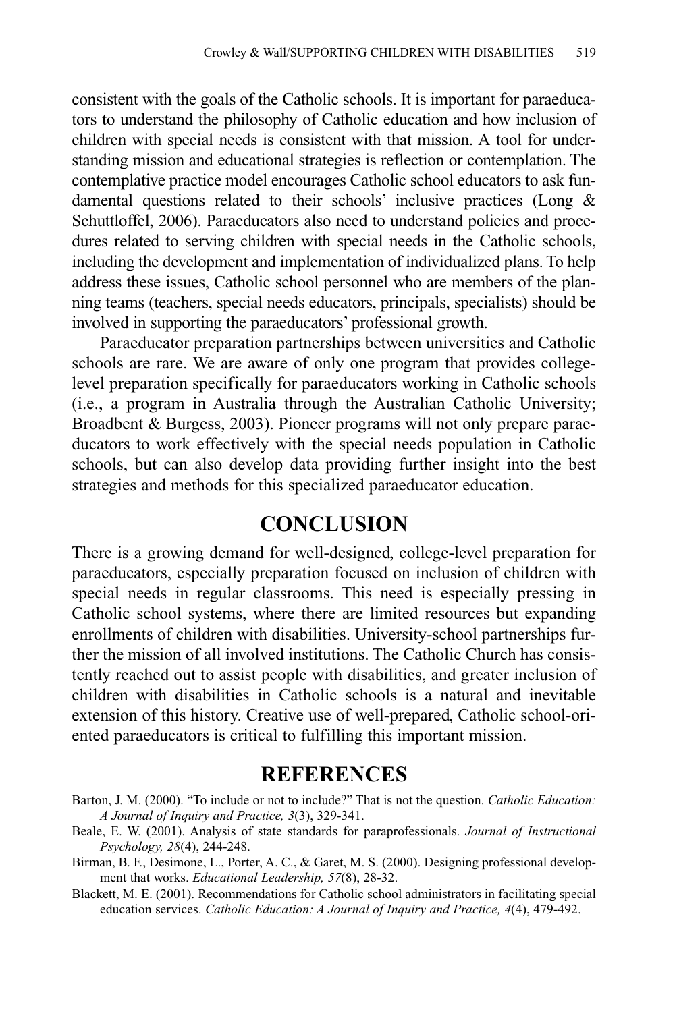consistent with the goals of the Catholic schools. It is important for paraeducators to understand the philosophy of Catholic education and how inclusion of children with special needs is consistent with that mission. A tool for understanding mission and educational strategies is reflection or contemplation. The contemplative practice model encourages Catholic school educators to ask fundamental questions related to their schools' inclusive practices (Long & Schuttloffel, 2006). Paraeducators also need to understand policies and procedures related to serving children with special needs in the Catholic schools, including the development and implementation of individualized plans. To help address these issues, Catholic school personnel who are members of the planning teams (teachers, special needs educators, principals, specialists) should be involved in supporting the paraeducators' professional growth.

Paraeducator preparation partnerships between universities and Catholic schools are rare. We are aware of only one program that provides collegelevel preparation specifically for paraeducators working in Catholic schools (i.e., a program in Australia through the Australian Catholic University; Broadbent & Burgess, 2003). Pioneer programs will not only prepare paraeducators to work effectively with the special needs population in Catholic schools, but can also develop data providing further insight into the best strategies and methods for this specialized paraeducator education.

### **CONCLUSION**

There is a growing demand for well-designed, college-level preparation for paraeducators, especially preparation focused on inclusion of children with special needs in regular classrooms. This need is especially pressing in Catholic school systems, where there are limited resources but expanding enrollments of children with disabilities. University-school partnerships further the mission of all involved institutions. The Catholic Church has consistently reached out to assist people with disabilities, and greater inclusion of children with disabilities in Catholic schools is a natural and inevitable extension of this history. Creative use of well-prepared, Catholic school-oriented paraeducators is critical to fulfilling this important mission.

### **REFERENCES**

- Barton, J. M. (2000). "To include or not to include?" That is not the question. *Catholic Education: A Journal of Inquiry and Practice, 3*(3), 329-341.
- Beale, E. W. (2001). Analysis of state standards for paraprofessionals. *Journal of Instructional Psychology, 28*(4), 244-248.
- Birman, B. F., Desimone, L., Porter, A. C., & Garet, M. S. (2000). Designing professional development that works. *Educational Leadership, 57*(8), 28-32.
- Blackett, M. E. (2001). Recommendations for Catholic school administrators in facilitating special education services. *Catholic Education: A Journal of Inquiry and Practice, 4*(4), 479-492.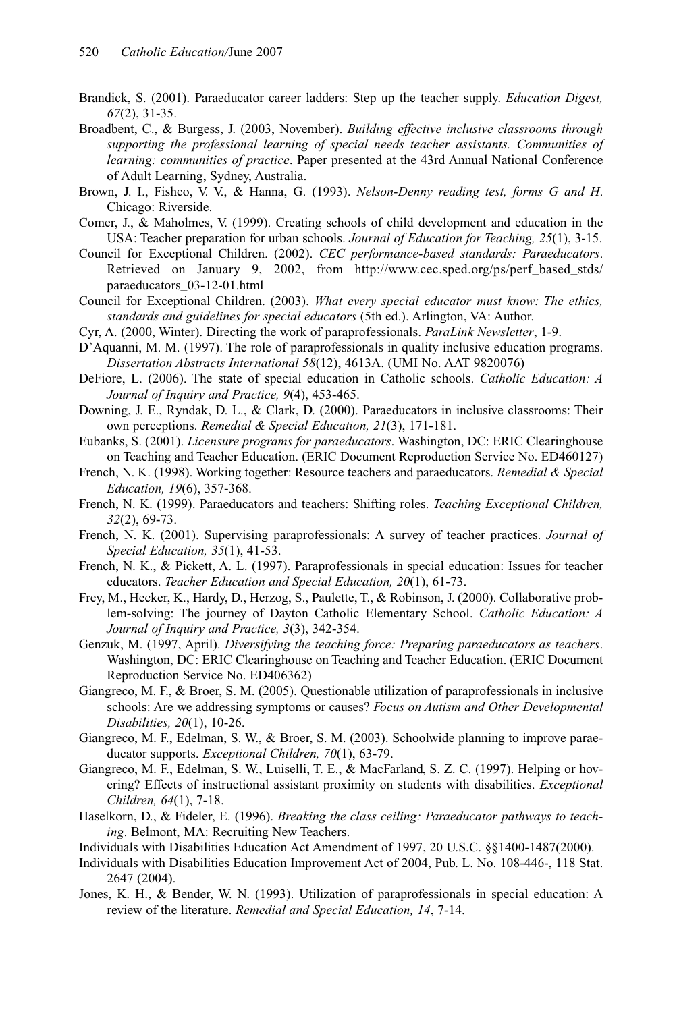- Brandick, S. (2001). Paraeducator career ladders: Step up the teacher supply. *Education Digest, 67*(2), 31-35.
- Broadbent, C., & Burgess, J. (2003, November). *Building effective inclusive classrooms through supporting the professional learning of special needs teacher assistants. Communities of learning: communities of practice*. Paper presented at the 43rd Annual National Conference of Adult Learning, Sydney, Australia.
- Brown, J. I., Fishco, V. V., & Hanna, G. (1993). *Nelson-Denny reading test, forms G and H*. Chicago: Riverside.
- Comer, J., & Maholmes, V. (1999). Creating schools of child development and education in the USA: Teacher preparation for urban schools. *Journal of Education for Teaching, 25*(1), 3-15.
- Council for Exceptional Children. (2002). *CEC performance-based standards: Paraeducators*. Retrieved on January 9, 2002, from http://www.cec.sped.org/ps/perf\_based\_stds/ paraeducators\_03-12-01.html
- Council for Exceptional Children. (2003). *What every special educator must know: The ethics, standards and guidelines for special educators* (5th ed.). Arlington, VA: Author.
- Cyr, A. (2000, Winter). Directing the work of paraprofessionals. *ParaLink Newsletter*, 1-9.
- D'Aquanni, M. M. (1997). The role of paraprofessionals in quality inclusive education programs. *Dissertation Abstracts International 58*(12), 4613A. (UMI No. AAT 9820076)
- DeFiore, L. (2006). The state of special education in Catholic schools. *Catholic Education: A Journal of Inquiry and Practice, 9*(4), 453-465.
- Downing, J. E., Ryndak, D. L., & Clark, D. (2000). Paraeducators in inclusive classrooms: Their own perceptions. *Remedial & Special Education, 21*(3), 171-181.
- Eubanks, S. (2001). *Licensure programs for paraeducators*. Washington, DC: ERIC Clearinghouse on Teaching and Teacher Education. (ERIC Document Reproduction Service No. ED460127)
- French, N. K. (1998). Working together: Resource teachers and paraeducators. *Remedial & Special Education, 19*(6), 357-368.
- French, N. K. (1999). Paraeducators and teachers: Shifting roles. *Teaching Exceptional Children, 32*(2), 69-73.
- French, N. K. (2001). Supervising paraprofessionals: A survey of teacher practices. *Journal of Special Education, 35*(1), 41-53.
- French, N. K., & Pickett, A. L. (1997). Paraprofessionals in special education: Issues for teacher educators. *Teacher Education and Special Education, 20*(1), 61-73.
- Frey, M., Hecker, K., Hardy, D., Herzog, S., Paulette, T., & Robinson, J. (2000). Collaborative problem-solving: The journey of Dayton Catholic Elementary School. *Catholic Education: A Journal of Inquiry and Practice, 3*(3), 342-354.
- Genzuk, M. (1997, April). *Diversifying the teaching force: Preparing paraeducators as teachers*. Washington, DC: ERIC Clearinghouse on Teaching and Teacher Education. (ERIC Document Reproduction Service No. ED406362)
- Giangreco, M. F., & Broer, S. M. (2005). Questionable utilization of paraprofessionals in inclusive schools: Are we addressing symptoms or causes? *Focus on Autism and Other Developmental Disabilities, 20*(1), 10-26.
- Giangreco, M. F., Edelman, S. W., & Broer, S. M. (2003). Schoolwide planning to improve paraeducator supports. *Exceptional Children, 70*(1), 63-79.
- Giangreco, M. F., Edelman, S. W., Luiselli, T. E., & MacFarland, S. Z. C. (1997). Helping or hovering? Effects of instructional assistant proximity on students with disabilities. *Exceptional Children, 64*(1), 7-18.
- Haselkorn, D., & Fideler, E. (1996). *Breaking the class ceiling: Paraeducator pathways to teaching*. Belmont, MA: Recruiting New Teachers.
- Individuals with Disabilities Education Act Amendment of 1997, 20 U.S.C. §§1400-1487(2000).
- Individuals with Disabilities Education Improvement Act of 2004, Pub. L. No. 108-446-, 118 Stat. 2647 (2004).
- Jones, K. H., & Bender, W. N. (1993). Utilization of paraprofessionals in special education: A review of the literature. *Remedial and Special Education, 14*, 7-14.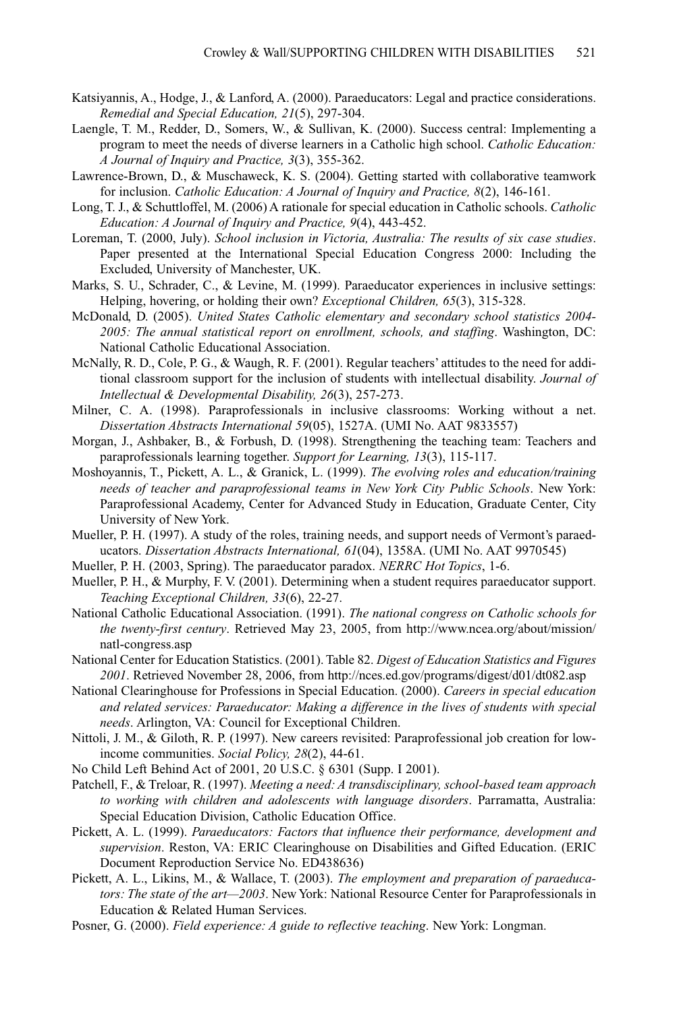- Katsiyannis, A., Hodge, J., & Lanford, A. (2000). Paraeducators: Legal and practice considerations. *Remedial and Special Education, 21*(5), 297-304.
- Laengle, T. M., Redder, D., Somers, W., & Sullivan, K. (2000). Success central: Implementing a program to meet the needs of diverse learners in a Catholic high school. *Catholic Education: A Journal of Inquiry and Practice, 3*(3), 355-362.
- Lawrence-Brown, D., & Muschaweck, K. S. (2004). Getting started with collaborative teamwork for inclusion. *Catholic Education: A Journal of Inquiry and Practice, 8*(2), 146-161.
- Long, T. J., & Schuttloffel, M. (2006) A rationale for special education in Catholic schools. *Catholic Education: A Journal of Inquiry and Practice, 9*(4), 443-452.
- Loreman, T. (2000, July). *School inclusion in Victoria, Australia: The results of six case studies*. Paper presented at the International Special Education Congress 2000: Including the Excluded, University of Manchester, UK.
- Marks, S. U., Schrader, C., & Levine, M. (1999). Paraeducator experiences in inclusive settings: Helping, hovering, or holding their own? *Exceptional Children, 65*(3), 315-328.
- McDonald, D. (2005). *United States Catholic elementary and secondary school statistics 2004- 2005: The annual statistical report on enrollment, schools, and staffing*. Washington, DC: National Catholic Educational Association.
- McNally, R. D., Cole, P. G., & Waugh, R. F. (2001). Regular teachers' attitudes to the need for additional classroom support for the inclusion of students with intellectual disability. *Journal of Intellectual & Developmental Disability, 26*(3), 257-273.
- Milner, C. A. (1998). Paraprofessionals in inclusive classrooms: Working without a net. *Dissertation Abstracts International 59*(05), 1527A. (UMI No. AAT 9833557)
- Morgan, J., Ashbaker, B., & Forbush, D. (1998). Strengthening the teaching team: Teachers and paraprofessionals learning together. *Support for Learning, 13*(3), 115-117.
- Moshoyannis, T., Pickett, A. L., & Granick, L. (1999). *The evolving roles and education/training needs of teacher and paraprofessional teams in New York City Public Schools*. New York: Paraprofessional Academy, Center for Advanced Study in Education, Graduate Center, City University of New York.
- Mueller, P. H. (1997). A study of the roles, training needs, and support needs of Vermont's paraeducators. *Dissertation Abstracts International, 61*(04), 1358A. (UMI No. AAT 9970545)
- Mueller, P. H. (2003, Spring). The paraeducator paradox. *NERRC Hot Topics*, 1-6.
- Mueller, P. H., & Murphy, F. V. (2001). Determining when a student requires paraeducator support. *Teaching Exceptional Children, 33*(6), 22-27.
- National Catholic Educational Association. (1991). *The national congress on Catholic schools for the twenty-first century*. Retrieved May 23, 2005, from http://www.ncea.org/about/mission/ natl-congress.asp
- National Center for Education Statistics. (2001). Table 82. *Digest of Education Statistics and Figures 2001*. Retrieved November 28, 2006, from http://nces.ed.gov/programs/digest/d01/dt082.asp
- National Clearinghouse for Professions in Special Education. (2000). *Careers in special education and related services: Paraeducator: Making a difference in the lives of students with special needs*. Arlington, VA: Council for Exceptional Children.
- Nittoli, J. M., & Giloth, R. P. (1997). New careers revisited: Paraprofessional job creation for lowincome communities. *Social Policy, 28*(2), 44-61.
- No Child Left Behind Act of 2001, 20 U.S.C. § 6301 (Supp. I 2001).
- Patchell, F., & Treloar, R. (1997). *Meeting a need: A transdisciplinary, school-based team approach to working with children and adolescents with language disorders*. Parramatta, Australia: Special Education Division, Catholic Education Office.
- Pickett, A. L. (1999). *Paraeducators: Factors that influence their performance, development and supervision*. Reston, VA: ERIC Clearinghouse on Disabilities and Gifted Education. (ERIC Document Reproduction Service No. ED438636)
- Pickett, A. L., Likins, M., & Wallace, T. (2003). *The employment and preparation of paraeducators: The state of the art—2003*. New York: National Resource Center for Paraprofessionals in Education & Related Human Services.
- Posner, G. (2000). *Field experience: A guide to reflective teaching*. New York: Longman.